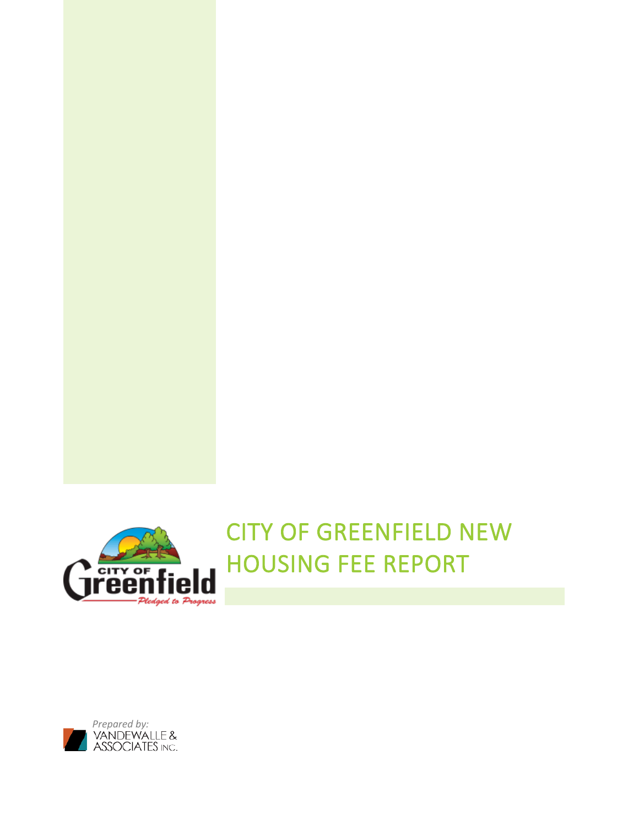

CITY OF GREENFIELD NEW HOUSING FEE REPORT

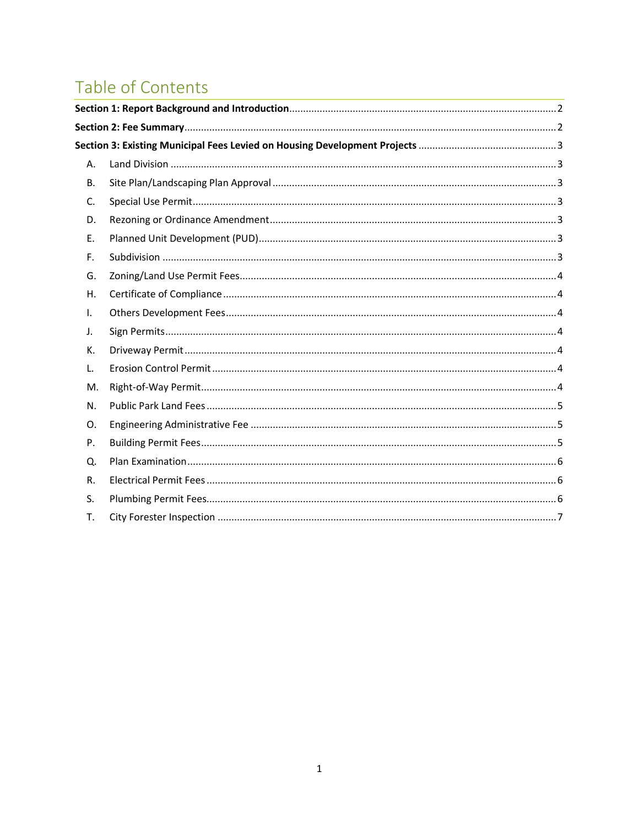# Table of Contents

<span id="page-1-0"></span>

| A. |  |
|----|--|
| В. |  |
| C. |  |
| D. |  |
| Ε. |  |
| F. |  |
| G. |  |
| Η. |  |
| I. |  |
| J. |  |
| К. |  |
| L. |  |
| M. |  |
| N. |  |
| O. |  |
| P. |  |
| Q. |  |
| R. |  |
| S. |  |
| Τ. |  |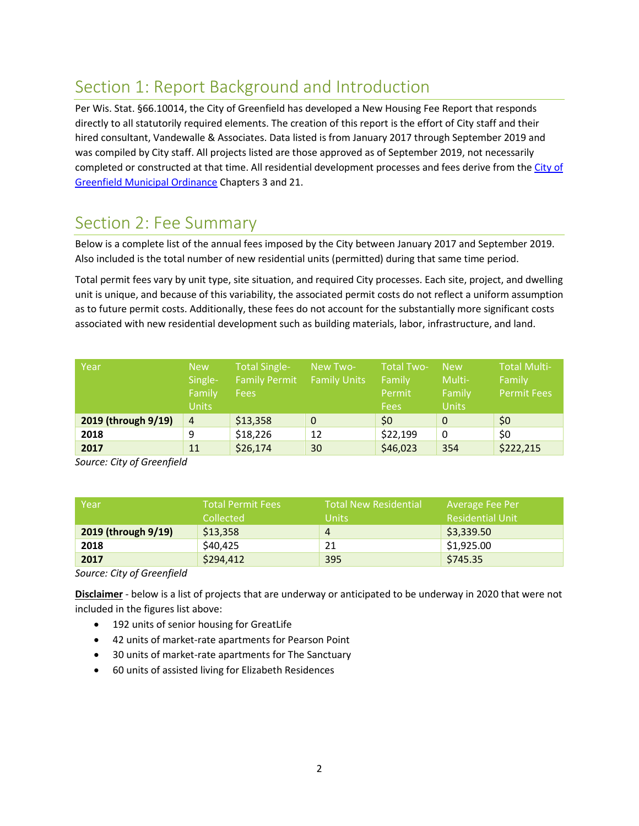## Section 1: Report Background and Introduction

Per Wis. Stat. §66.10014, the City of Greenfield has developed a New Housing Fee Report that responds directly to all statutorily required elements. The creation of this report is the effort of City staff and their hired consultant, Vandewalle & Associates. Data listed is from January 2017 through September 2019 and was compiled by City staff. All projects listed are those approved as of September 2019, not necessarily completed or constructed at that time. All residential development processes and fees derive from the [City of](https://library.municode.com/wi/greenfield/codes/code_of_ordinances?nodeId=MUCOGRWI)  [Greenfield Municipal Ordinance](https://library.municode.com/wi/greenfield/codes/code_of_ordinances?nodeId=MUCOGRWI) Chapters 3 and 21.

### <span id="page-2-0"></span>Section 2: Fee Summary

Below is a complete list of the annual fees imposed by the City between January 2017 and September 2019. Also included is the total number of new residential units (permitted) during that same time period.

Total permit fees vary by unit type, site situation, and required City processes. Each site, project, and dwelling unit is unique, and because of this variability, the associated permit costs do not reflect a uniform assumption as to future permit costs. Additionally, these fees do not account for the substantially more significant costs associated with new residential development such as building materials, labor, infrastructure, and land.

| Year                | <b>New</b><br>Single-<br>Family<br><b>Units</b> | <b>Total Single-</b><br><b>Family Permit</b><br><b>Fees</b> | New Two-<br><b>Family Units</b> | <b>Total Two-</b><br>Family<br>Permit<br><b>Fees</b> | <b>New</b><br>Multi-<br>Family<br><b>Units</b> | <b>Total Multi-</b><br>Family<br><b>Permit Fees</b> |
|---------------------|-------------------------------------------------|-------------------------------------------------------------|---------------------------------|------------------------------------------------------|------------------------------------------------|-----------------------------------------------------|
| 2019 (through 9/19) | $\overline{4}$                                  | \$13,358                                                    | $\mathbf 0$                     | \$0                                                  | $\mathbf 0$                                    | \$0                                                 |
| 2018                | 9                                               | \$18,226                                                    | 12                              | \$22,199                                             | 0                                              | \$0                                                 |
| 2017                | 11                                              | \$26,174                                                    | 30                              | \$46,023                                             | 354                                            | \$222,215                                           |

*Source: City of Greenfield* 

| Year                | <b>Total Permit Fees</b><br>Collected | <b>Total New Residential</b><br><b>Units</b> | Average Fee Per<br><b>Residential Unit</b> |
|---------------------|---------------------------------------|----------------------------------------------|--------------------------------------------|
| 2019 (through 9/19) | \$13,358                              | 4                                            | \$3,339.50                                 |
| 2018                | \$40,425                              | 21                                           | \$1,925.00                                 |
| 2017                | \$294,412                             | 395                                          | \$745.35                                   |

*Source: City of Greenfield*

**Disclaimer** - below is a list of projects that are underway or anticipated to be underway in 2020 that were not included in the figures list above:

- 192 units of senior housing for GreatLife
- 42 units of market-rate apartments for Pearson Point
- 30 units of market-rate apartments for The Sanctuary
- 60 units of assisted living for Elizabeth Residences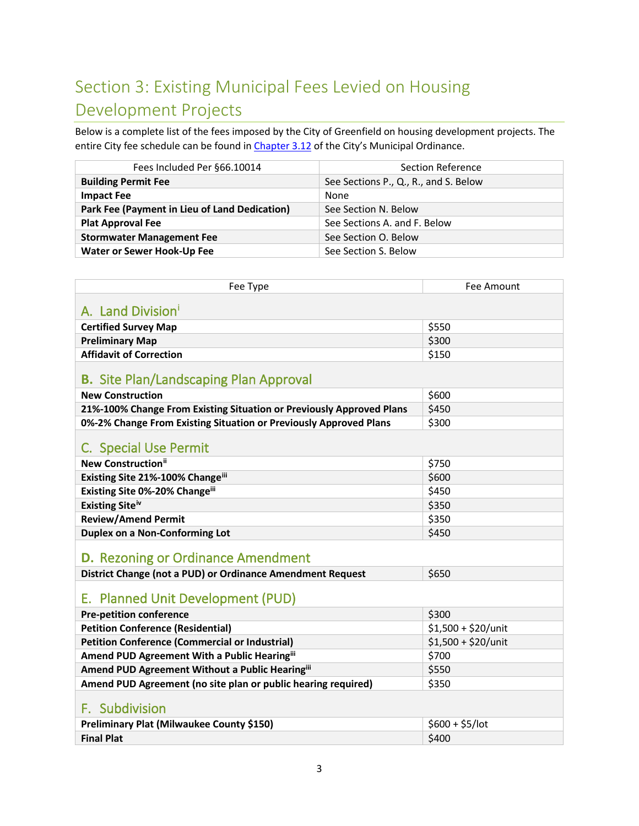# <span id="page-3-0"></span>Section 3: Existing Municipal Fees Levied on Housing Development Projects

Below is a complete list of the fees imposed by the City of Greenfield on housing development projects. The entire City fee schedule can be found i[n Chapter 3.12](https://library.municode.com/wi/greenfield/codes/code_of_ordinances?nodeId=CH3FITA_3.12FESCCR2233) of the City's Municipal Ordinance.

| Fees Included Per §66.10014                   | Section Reference                     |  |
|-----------------------------------------------|---------------------------------------|--|
| <b>Building Permit Fee</b>                    | See Sections P., Q., R., and S. Below |  |
| <b>Impact Fee</b>                             | None                                  |  |
| Park Fee (Payment in Lieu of Land Dedication) | See Section N. Below                  |  |
| <b>Plat Approval Fee</b>                      | See Sections A. and F. Below          |  |
| <b>Stormwater Management Fee</b>              | See Section O. Below                  |  |
| <b>Water or Sewer Hook-Up Fee</b>             | See Section S. Below                  |  |

<span id="page-3-7"></span><span id="page-3-6"></span><span id="page-3-5"></span><span id="page-3-4"></span><span id="page-3-3"></span><span id="page-3-2"></span><span id="page-3-1"></span>

| Fee Type                                                             | Fee Amount           |  |  |
|----------------------------------------------------------------------|----------------------|--|--|
| A. Land Division                                                     |                      |  |  |
|                                                                      |                      |  |  |
| <b>Certified Survey Map</b>                                          | \$550<br>\$300       |  |  |
| <b>Preliminary Map</b><br><b>Affidavit of Correction</b>             | \$150                |  |  |
|                                                                      |                      |  |  |
| <b>B.</b> Site Plan/Landscaping Plan Approval                        |                      |  |  |
| <b>New Construction</b>                                              | \$600                |  |  |
| 21%-100% Change From Existing Situation or Previously Approved Plans | \$450                |  |  |
| 0%-2% Change From Existing Situation or Previously Approved Plans    | \$300                |  |  |
| C. Special Use Permit                                                |                      |  |  |
| <b>New Construction</b> <sup>ii</sup>                                | \$750                |  |  |
| Existing Site 21%-100% Changeiii                                     | \$600                |  |  |
| Existing Site 0%-20% Changeiii                                       | \$450                |  |  |
| Existing Site <sup>iv</sup>                                          | \$350                |  |  |
| <b>Review/Amend Permit</b>                                           | \$350                |  |  |
| <b>Duplex on a Non-Conforming Lot</b>                                | \$450                |  |  |
| <b>D.</b> Rezoning or Ordinance Amendment                            |                      |  |  |
| District Change (not a PUD) or Ordinance Amendment Request           | \$650                |  |  |
| E. Planned Unit Development (PUD)                                    |                      |  |  |
| <b>Pre-petition conference</b>                                       | \$300                |  |  |
| <b>Petition Conference (Residential)</b>                             | $$1,500 + $20/$ unit |  |  |
| <b>Petition Conference (Commercial or Industrial)</b>                | $$1,500 + $20/$ unit |  |  |
| Amend PUD Agreement With a Public Hearingiii                         | \$700                |  |  |
| Amend PUD Agreement Without a Public Hearingiii                      | \$550                |  |  |
| Amend PUD Agreement (no site plan or public hearing required)        | \$350                |  |  |
| F. Subdivision                                                       |                      |  |  |
| Preliminary Plat (Milwaukee County \$150)                            | $$600 + $5/$ lot     |  |  |
| <b>Final Plat</b>                                                    | \$400                |  |  |
|                                                                      |                      |  |  |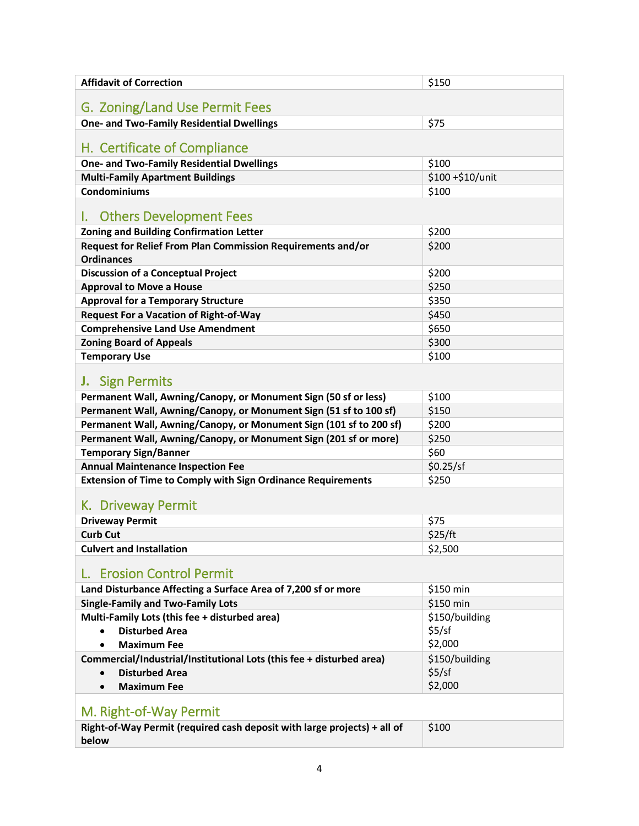<span id="page-4-6"></span><span id="page-4-5"></span><span id="page-4-4"></span><span id="page-4-3"></span><span id="page-4-2"></span><span id="page-4-1"></span><span id="page-4-0"></span>

| <b>Affidavit of Correction</b>                                                   | \$150            |  |  |
|----------------------------------------------------------------------------------|------------------|--|--|
|                                                                                  |                  |  |  |
| G. Zoning/Land Use Permit Fees                                                   |                  |  |  |
| <b>One- and Two-Family Residential Dwellings</b>                                 | \$75             |  |  |
| H. Certificate of Compliance                                                     |                  |  |  |
| <b>One- and Two-Family Residential Dwellings</b>                                 | \$100            |  |  |
| <b>Multi-Family Apartment Buildings</b>                                          | \$100 +\$10/unit |  |  |
| <b>Condominiums</b>                                                              | \$100            |  |  |
| <b>Others Development Fees</b>                                                   |                  |  |  |
| <b>Zoning and Building Confirmation Letter</b>                                   | \$200            |  |  |
| Request for Relief From Plan Commission Requirements and/or<br><b>Ordinances</b> | \$200            |  |  |
| <b>Discussion of a Conceptual Project</b>                                        | \$200            |  |  |
| <b>Approval to Move a House</b>                                                  | \$250            |  |  |
| <b>Approval for a Temporary Structure</b>                                        | \$350            |  |  |
| <b>Request For a Vacation of Right-of-Way</b>                                    | \$450            |  |  |
| <b>Comprehensive Land Use Amendment</b>                                          | \$650            |  |  |
| <b>Zoning Board of Appeals</b>                                                   | \$300            |  |  |
| <b>Temporary Use</b>                                                             | \$100            |  |  |
| <b>J.</b> Sign Permits                                                           |                  |  |  |
| Permanent Wall, Awning/Canopy, or Monument Sign (50 sf or less)                  | \$100            |  |  |
| Permanent Wall, Awning/Canopy, or Monument Sign (51 sf to 100 sf)                | \$150            |  |  |
| Permanent Wall, Awning/Canopy, or Monument Sign (101 sf to 200 sf)               | \$200            |  |  |
| Permanent Wall, Awning/Canopy, or Monument Sign (201 sf or more)                 | \$250            |  |  |
| <b>Temporary Sign/Banner</b>                                                     | \$60             |  |  |
| <b>Annual Maintenance Inspection Fee</b>                                         | \$0.25/sf        |  |  |
| <b>Extension of Time to Comply with Sign Ordinance Requirements</b>              | \$250            |  |  |
| K. Driveway Permit                                                               |                  |  |  |
| <b>Driveway Permit</b>                                                           | \$75             |  |  |
| <b>Curb Cut</b>                                                                  | \$25/ft          |  |  |
| <b>Culvert and Installation</b>                                                  | \$2,500          |  |  |
| <b>Erosion Control Permit</b>                                                    |                  |  |  |
| Land Disturbance Affecting a Surface Area of 7,200 sf or more                    | \$150 min        |  |  |
| <b>Single-Family and Two-Family Lots</b>                                         | \$150 min        |  |  |
| Multi-Family Lots (this fee + disturbed area)                                    | \$150/building   |  |  |
| <b>Disturbed Area</b><br>$\bullet$                                               | \$5/sf           |  |  |
| <b>Maximum Fee</b>                                                               | \$2,000          |  |  |
| Commercial/Industrial/Institutional Lots (this fee + disturbed area)             | \$150/building   |  |  |
| <b>Disturbed Area</b><br>$\bullet$                                               | \$5/sf           |  |  |
| <b>Maximum Fee</b>                                                               | \$2,000          |  |  |
| M. Right-of-Way Permit                                                           |                  |  |  |
| Right-of-Way Permit (required cash deposit with large projects) + all of         | \$100            |  |  |
| below                                                                            |                  |  |  |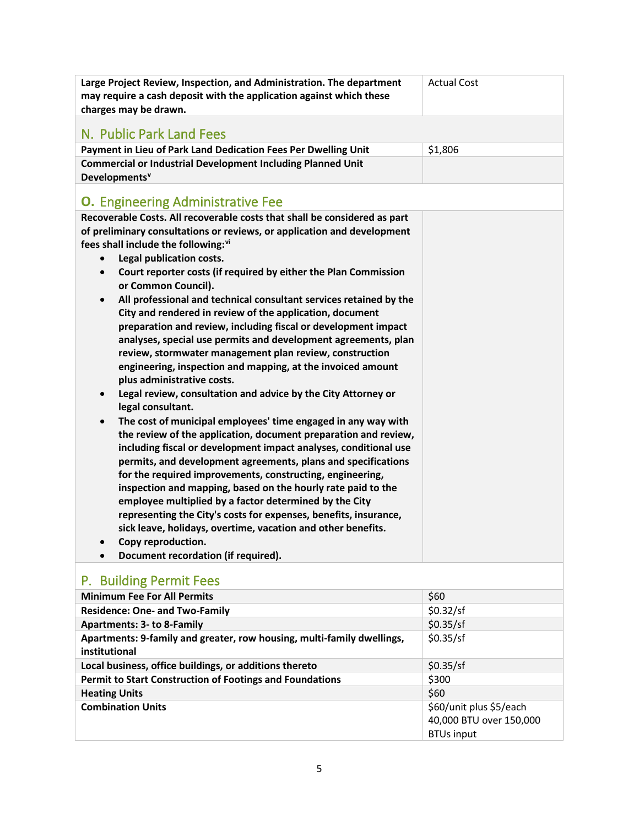<span id="page-5-1"></span><span id="page-5-0"></span>

| Large Project Review, Inspection, and Administration. The department<br>may require a cash deposit with the application against which these<br>charges may be drawn. | <b>Actual Cost</b> |
|----------------------------------------------------------------------------------------------------------------------------------------------------------------------|--------------------|
| N. Public Park Land Fees                                                                                                                                             |                    |
| Payment in Lieu of Park Land Dedication Fees Per Dwelling Unit                                                                                                       | \$1,806            |
| <b>Commercial or Industrial Development Including Planned Unit</b><br>Developments <sup>v</sup>                                                                      |                    |
| <b>O.</b> Engineering Administrative Fee                                                                                                                             |                    |
| Recoverable Costs. All recoverable costs that shall be considered as part                                                                                            |                    |
| of preliminary consultations or reviews, or application and development                                                                                              |                    |
| fees shall include the following:vi                                                                                                                                  |                    |
| Legal publication costs.<br>$\bullet$                                                                                                                                |                    |
| Court reporter costs (if required by either the Plan Commission<br>$\bullet$                                                                                         |                    |
| or Common Council).                                                                                                                                                  |                    |
| All professional and technical consultant services retained by the<br>$\bullet$                                                                                      |                    |
| City and rendered in review of the application, document                                                                                                             |                    |
| preparation and review, including fiscal or development impact                                                                                                       |                    |
| analyses, special use permits and development agreements, plan                                                                                                       |                    |
| review, stormwater management plan review, construction                                                                                                              |                    |
| engineering, inspection and mapping, at the invoiced amount<br>plus administrative costs.                                                                            |                    |
| Legal review, consultation and advice by the City Attorney or<br>$\bullet$<br>legal consultant.                                                                      |                    |
| The cost of municipal employees' time engaged in any way with<br>$\bullet$                                                                                           |                    |
| the review of the application, document preparation and review,                                                                                                      |                    |
| including fiscal or development impact analyses, conditional use                                                                                                     |                    |
| permits, and development agreements, plans and specifications                                                                                                        |                    |
| for the required improvements, constructing, engineering,                                                                                                            |                    |
| inspection and mapping, based on the hourly rate paid to the                                                                                                         |                    |
| employee multiplied by a factor determined by the City                                                                                                               |                    |
| representing the City's costs for expenses, benefits, insurance,                                                                                                     |                    |
| sick leave, holidays, overtime, vacation and other benefits.                                                                                                         |                    |
| Copy reproduction.<br>$\bullet$                                                                                                                                      |                    |
| Document recordation (if required).<br>$\bullet$                                                                                                                     |                    |
|                                                                                                                                                                      |                    |

#### <span id="page-5-2"></span>P. Building Permit Fees **Minimum Fee For All Permits**  $\begin{array}{c} \circ \\ \circ \end{array}$  \$60 **Residence: One- and Two-Family <b>Example 20.32/sf** 50.32/sf **Apartments: 3- to 8-Family Apartments: 3-10 8-Family \$0.35/sf Apartments: 9-family and greater, row housing, multi-family dwellings, institutional**  \$0.35/sf **Local business, office buildings, or additions thereto**  $\big|$ \$0.35/sf **Permit to Start Construction of Footings and Foundations**  $\begin{bmatrix} $300 \end{bmatrix}$ **Heating Units** \$60

5

40,000 BTU over 150,000

BTUs input

**Combination Units Combination Units Combination Units Combination Units Exercício Exercício Exercício Exercício Exercício Exercício Exercício Exercício Exercício Exercício Exercício Exercício Exercício Exercício E**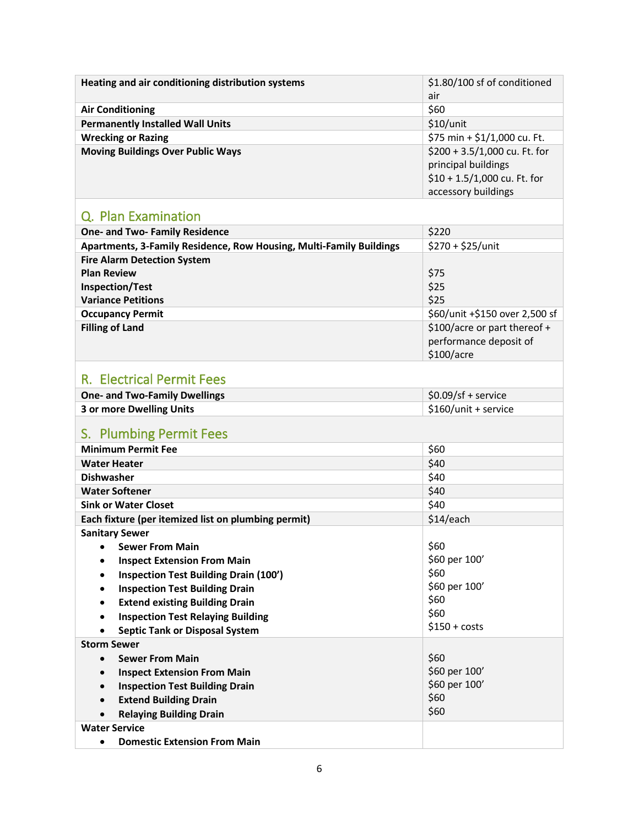<span id="page-6-2"></span><span id="page-6-1"></span><span id="page-6-0"></span>

| Heating and air conditioning distribution systems                     | \$1.80/100 sf of conditioned<br>air |
|-----------------------------------------------------------------------|-------------------------------------|
| <b>Air Conditioning</b>                                               | \$60                                |
| <b>Permanently Installed Wall Units</b>                               | \$10/unit                           |
|                                                                       |                                     |
| <b>Wrecking or Razing</b><br><b>Moving Buildings Over Public Ways</b> | \$75 min + \$1/1,000 cu. Ft.        |
|                                                                       | \$200 + 3.5/1,000 cu. Ft. for       |
|                                                                       | principal buildings                 |
|                                                                       | $$10 + 1.5/1,000$ cu. Ft. for       |
|                                                                       | accessory buildings                 |
| Q. Plan Examination                                                   |                                     |
| <b>One- and Two- Family Residence</b>                                 | \$220                               |
| Apartments, 3-Family Residence, Row Housing, Multi-Family Buildings   | \$270 + \$25/unit                   |
| <b>Fire Alarm Detection System</b>                                    |                                     |
| <b>Plan Review</b>                                                    | \$75                                |
| <b>Inspection/Test</b>                                                | \$25                                |
| <b>Variance Petitions</b>                                             | \$25                                |
| <b>Occupancy Permit</b>                                               | \$60/unit +\$150 over 2,500 sf      |
| <b>Filling of Land</b>                                                | \$100/acre or part thereof +        |
|                                                                       | performance deposit of              |
|                                                                       | \$100/acre                          |
|                                                                       |                                     |
| <b>R. Electrical Permit Fees</b>                                      |                                     |
| <b>One- and Two-Family Dwellings</b>                                  | $$0.09/sf +$ service                |
| 3 or more Dwelling Units                                              | \$160/unit + service                |
| S. Plumbing Permit Fees                                               |                                     |
| <b>Minimum Permit Fee</b>                                             | \$60                                |
| <b>Water Heater</b>                                                   | \$40                                |
| <b>Dishwasher</b>                                                     | \$40                                |
| <b>Water Softener</b>                                                 | \$40                                |
| <b>Sink or Water Closet</b>                                           | \$40                                |
| Each fixture (per itemized list on plumbing permit)                   | \$14/each                           |
| <b>Sanitary Sewer</b>                                                 |                                     |
| <b>Sewer From Main</b>                                                | \$60                                |
| <b>Inspect Extension From Main</b>                                    | \$60 per 100'                       |
| <b>Inspection Test Building Drain (100')</b>                          | \$60                                |
| <b>Inspection Test Building Drain</b>                                 | \$60 per 100'                       |
| <b>Extend existing Building Drain</b>                                 | \$60                                |
| <b>Inspection Test Relaying Building</b><br>$\bullet$                 | \$60                                |
| <b>Septic Tank or Disposal System</b><br>$\bullet$                    | $$150 + costs$                      |
| <b>Storm Sewer</b>                                                    |                                     |
| <b>Sewer From Main</b><br>$\bullet$                                   | \$60                                |
| <b>Inspect Extension From Main</b><br>$\bullet$                       | \$60 per 100'                       |
| <b>Inspection Test Building Drain</b><br>$\bullet$                    | \$60 per 100'                       |
| <b>Extend Building Drain</b>                                          | \$60                                |
| <b>Relaying Building Drain</b>                                        | \$60                                |
| <b>Water Service</b>                                                  |                                     |
| <b>Domestic Extension From Main</b><br>$\bullet$                      |                                     |
|                                                                       |                                     |